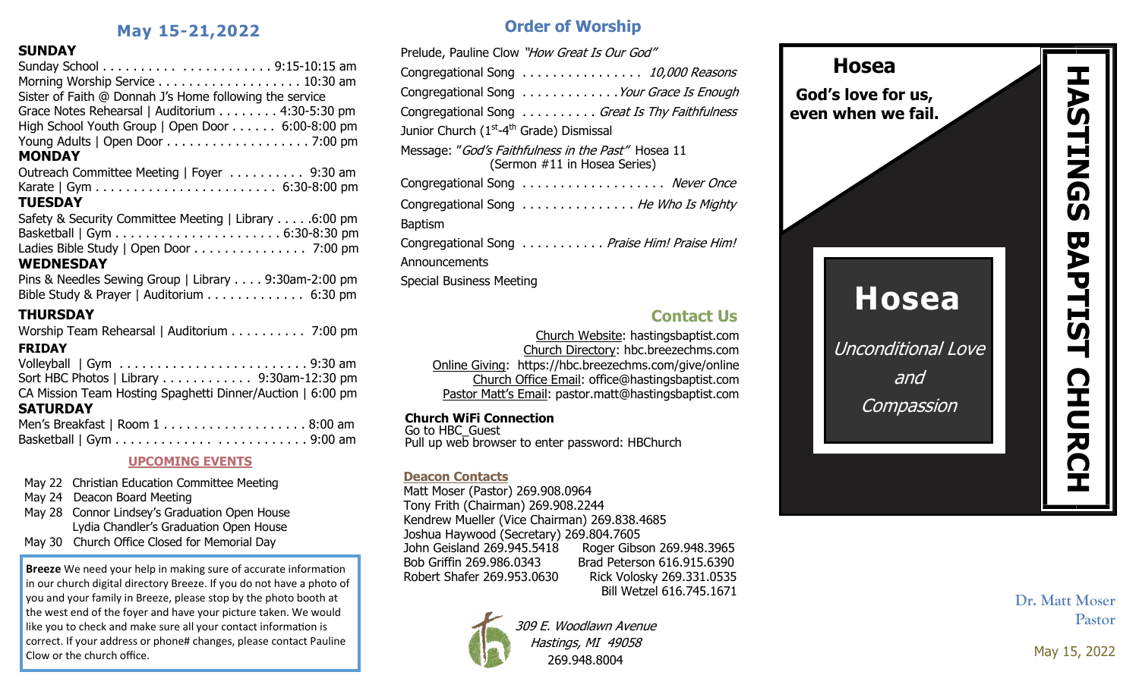# **May 15-21,2022**

# **SUNDAY**

| SUNDA I                                                    |  |
|------------------------------------------------------------|--|
|                                                            |  |
| Morning Worship Service 10:30 am                           |  |
| Sister of Faith @ Donnah J's Home following the service    |  |
| Grace Notes Rehearsal   Auditorium 4:30-5:30 pm            |  |
| High School Youth Group   Open Door 6:00-8:00 pm           |  |
|                                                            |  |
| <b>MONDAY</b>                                              |  |
| Outreach Committee Meeting   Foyer 9:30 am                 |  |
|                                                            |  |
| <b>TUESDAY</b>                                             |  |
| Safety & Security Committee Meeting   Library 6:00 pm      |  |
|                                                            |  |
| Ladies Bible Study   Open Door 7:00 pm                     |  |
| <b>WEDNESDAY</b>                                           |  |
| Pins & Needles Sewing Group   Library 9:30am-2:00 pm       |  |
| Bible Study & Prayer   Auditorium 6:30 pm                  |  |
| <b>THURSDAY</b>                                            |  |
| Worship Team Rehearsal   Auditorium 7:00 pm                |  |
|                                                            |  |
| <b>FRIDAY</b>                                              |  |
|                                                            |  |
| Sort HBC Photos   Library 9:30am-12:30 pm                  |  |
| CA Mission Team Hosting Spaghetti Dinner/Auction   6:00 pm |  |
| <b>SATURDAY</b>                                            |  |
|                                                            |  |

## **UPCOMING EVENTS**

- May 22 Christian Education Committee Meeting
- May 24 Deacon Board Meeting
- May 28 Connor Lindsey's Graduation Open House Lydia Chandler's Graduation Open House
- May 30 Church Office Closed for Memorial Day

**Breeze** We need your help in making sure of accurate information in our church digital directory Breeze. If you do not have a photo of you and your family in Breeze, please stop by the photo booth at the west end of the foyer and have your picture taken. We would like you to check and make sure all your contact information is correct. If your address or phone# changes, please contact Pauline Clow or the church office.

# **Order of Worship**

| Prelude, Pauline Clow "How Great Is Our God"                                       |
|------------------------------------------------------------------------------------|
| Congregational Song 10,000 Reasons                                                 |
| Congregational Song Your Grace Is Enough                                           |
| Congregational Song Great Is Thy Faithfulness                                      |
| Junior Church (1 <sup>st</sup> -4 <sup>th</sup> Grade) Dismissal                   |
| Message: "God's Faithfulness in the Past" Hosea 11<br>(Sermon #11 in Hosea Series) |
| Congregational Song  Never Once                                                    |
| Congregational Song He Who Is Mighty                                               |
| <b>Baptism</b>                                                                     |
| Congregational Song Praise Him! Praise Him!                                        |
| Announcements                                                                      |
| Special Business Meeting                                                           |
|                                                                                    |

# **Contact Us**

Church Website: hastingsbaptist.com Church Directory: hbc.breezechms.com Online Giving: https://hbc.breezechms.com/give/online Church Office Email: office@hastingsbaptist.com Pastor Matt's Email: pastor.matt@hastingsbaptist.com

# **Church WiFi Connection**

Go to HBC\_Guest Pull up web browser to enter password: HBChurch

## **Deacon Contacts**

Matt Moser (Pastor) 269.908.0964 Tony Frith (Chairman) 269.908.2244 Kendrew Mueller (Vice Chairman) 269.838.4685 Joshua Haywood (Secretary) 269.804.7605 John Geisland 269.945.5418 Roger Gibson 269.948.3965 Bob Griffin 269.986.0343 Brad Peterson 616.915.6390 Robert Shafer 269.953.0630 Rick Volosky 269.331.0535 Bill Wetzel 616.745.1671



309 E. Woodlawn Avenue Hastings, MI 49058 269.948.8004



**Dr. Matt Moser Pastor**